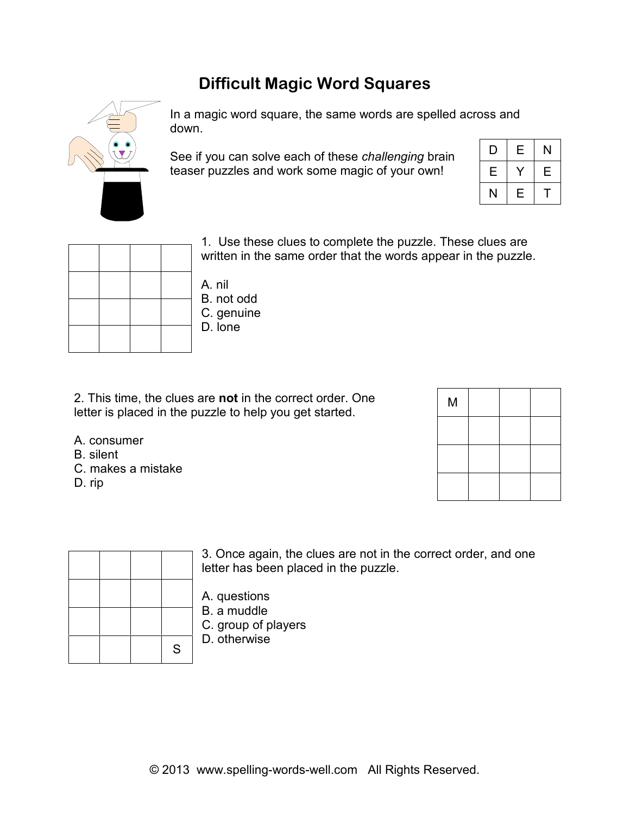## **Difficult Magic Word Squares**



In a magic word square, the same words are spelled across and down.

See if you can solve each of these *challenging* brain teaser puzzles and work some magic of your own!

| D | Е | N |
|---|---|---|
| Е |   | Ε |
| Ν | Ε |   |

|  |  | i. USE<br>written  |
|--|--|--------------------|
|  |  | A. nil             |
|  |  | B. not c           |
|  |  | C. genu<br>D. lone |
|  |  |                    |

1. Use these clues to complete the puzzle. These clues are ten in the same order that the words appear in the puzzle.

- A. nil B. not odd **enuine**
- 2. This time, the clues are **not** in the correct order. One letter is placed in the puzzle to help you get started.
- A. consumer
- B. silent
- C. makes a mistake
- D. rip



|  | ${\mathsf S}$ |
|--|---------------|

3. Once again, the clues are not in the correct order, and one letter has been placed in the puzzle.

- A. questions
- B. a muddle
- C. group of players
- D. otherwise